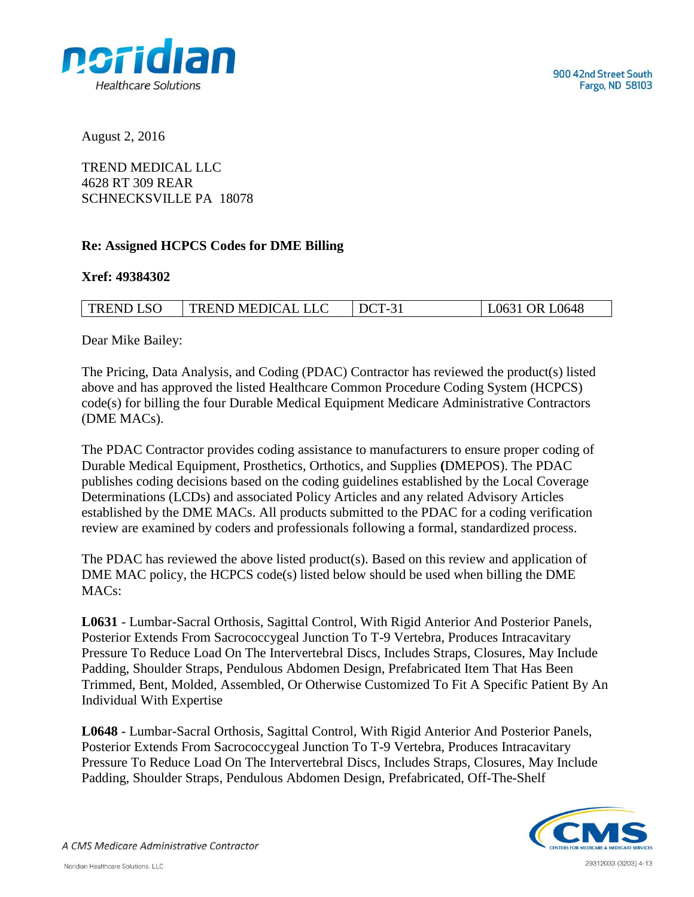

August 2, 2016

TREND MEDICAL LLC 4628 RT 309 REAR SCHNECKSVILLE PA 18078

## **Re: Assigned HCPCS Codes for DME Billing**

## **Xref: 49384302**

| TREND LSO | TREND MEDICAL LLC | $DCT-31$ | L0631 OR L0648 |
|-----------|-------------------|----------|----------------|

Dear Mike Bailey:

The Pricing, Data Analysis, and Coding (PDAC) Contractor has reviewed the product(s) listed above and has approved the listed Healthcare Common Procedure Coding System (HCPCS) code(s) for billing the four Durable Medical Equipment Medicare Administrative Contractors (DME MACs).

The PDAC Contractor provides coding assistance to manufacturers to ensure proper coding of Durable Medical Equipment, Prosthetics, Orthotics, and Supplies **(**DMEPOS). The PDAC publishes coding decisions based on the coding guidelines established by the Local Coverage Determinations (LCDs) and associated Policy Articles and any related Advisory Articles established by the DME MACs. All products submitted to the PDAC for a coding verification review are examined by coders and professionals following a formal, standardized process.

The PDAC has reviewed the above listed product(s). Based on this review and application of DME MAC policy, the HCPCS code(s) listed below should be used when billing the DME MACs:

**L0631** - Lumbar-Sacral Orthosis, Sagittal Control, With Rigid Anterior And Posterior Panels, Posterior Extends From Sacrococcygeal Junction To T-9 Vertebra, Produces Intracavitary Pressure To Reduce Load On The Intervertebral Discs, Includes Straps, Closures, May Include Padding, Shoulder Straps, Pendulous Abdomen Design, Prefabricated Item That Has Been Trimmed, Bent, Molded, Assembled, Or Otherwise Customized To Fit A Specific Patient By An Individual With Expertise

**L0648** - Lumbar-Sacral Orthosis, Sagittal Control, With Rigid Anterior And Posterior Panels, Posterior Extends From Sacrococcygeal Junction To T-9 Vertebra, Produces Intracavitary Pressure To Reduce Load On The Intervertebral Discs, Includes Straps, Closures, May Include Padding, Shoulder Straps, Pendulous Abdomen Design, Prefabricated, Off-The-Shelf



A CMS Medicare Administrative Contractor